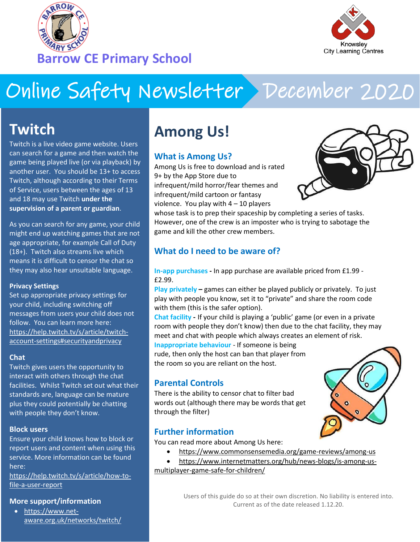



# Online Safety Newsletter December 2020

## **Twitch**

Twitch is a live video game website. Users can search for a game and then watch the game being played live (or via playback) by another user. You should be 13+ to access Twitch, although according to their Terms of Service, users between the ages of 13 and 18 may use Twitch **under the supervision of a parent or guardian**.

As you can search for any game, your child might end up watching games that are not age appropriate, for example Call of Duty (18+). Twitch also streams live which means it is difficult to censor the chat so they may also hear unsuitable language.

#### **Privacy Settings**

Set up appropriate privacy settings for your child, including switching off messages from users your child does not follow. You can learn more here: [https://help.twitch.tv/s/article/twitch](https://help.twitch.tv/s/article/twitch-account-settings#securityandprivacy)[account-settings#securityandprivacy](https://help.twitch.tv/s/article/twitch-account-settings#securityandprivacy)

#### **Chat**

Twitch gives users the opportunity to interact with others through the chat facilities. Whilst Twitch set out what their standards are, language can be mature plus they could potentially be chatting with people they don't know.

#### **Block users**

Ensure your child knows how to block or report users and content when using this service. More information can be found here:

[https://help.twitch.tv/s/article/how-to](https://help.twitch.tv/s/article/how-to-file-a-user-report?language=en_US)[file-a-user-report](https://help.twitch.tv/s/article/how-to-file-a-user-report?language=en_US)

#### **More support/information**

• [https://www.net](https://www.net-aware.org.uk/networks/twitch/)[aware.org.uk/networks/twitch/](https://www.net-aware.org.uk/networks/twitch/)

# **Among Us!**

## **What is Among Us?**

Among Us is free to download and is rated 9+ by the App Store due to infrequent/mild horror/fear themes and infrequent/mild cartoon or fantasy violence. You play with  $4 - 10$  players



whose task is to prep their spaceship by completing a series of tasks. However, one of the crew is an imposter who is trying to sabotage the game and kill the other crew members.

## **What do I need to be aware of?**

**In-app purchases -** In app purchase are available priced from £1.99 - £2.99.

**Play privately –** games can either be played publicly or privately. To just play with people you know, set it to "private" and share the room code with them (this is the safer option).

**Chat facility -** If your child is playing a 'public' game (or even in a private room with people they don't know) then due to the chat facility, they may meet and chat with people which always creates an element of risk.

**Inappropriate behaviour** - If someone is being rude, then only the host can ban that player from the room so you are reliant on the host.

#### **Parental Controls**

There is the ability to censor chat to filter bad words out (although there may be words that get through the filter)

#### **Further information**

You can read more about Among Us here:

- <https://www.commonsensemedia.org/game-reviews/among-us>
- [https://www.internetmatters.org/hub/news-blogs/is-among-us](https://www.internetmatters.org/hub/news-blogs/is-among-us-multiplayer-game-safe-for-children/)[multiplayer-game-safe-for-children/](https://www.internetmatters.org/hub/news-blogs/is-among-us-multiplayer-game-safe-for-children/)

Users of this guide do so at their own discretion. No liability is entered into. Current as of the date released 1.12.20.